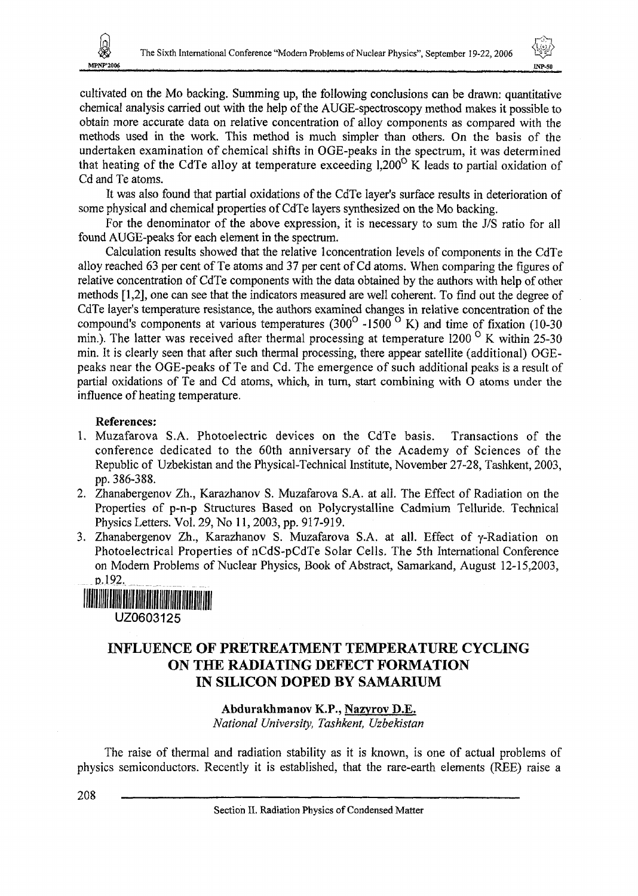



cultivated on the Mo backing. Summing up, the following conclusions can be drawn: quantitative chemical analysis carried out with the help of the AUGE-spectroscopy method makes it possible to obtain more accurate data on relative concentration of alloy components as compared with the methods used in the work. This method is much simpler than others. On the basis of the undertaken examination of chemical shifts in OGE-peaks in the spectrum, it was determined that heating of the CdTe alloy at temperature exceeding  $1.200^{\circ}$  K leads to partial oxidation of Cd and Te atoms.

It was also found that partial oxidations of the CdTe layer's surface results in deterioration of some physical and chemical properties of CdTe layers synthesized on the Mo backing.

For the denominator of the above expression, it is necessary to sum the J/S ratio for all found AUGE-peaks for each element in the spectrum.

Calculation results showed that the relative 1 concentration levels of components in the CdTe alloy reached 63 per cent of Te atoms and 37 per cent of Cd atoms. When comparing the figures of relative concentration of CdTe components with the data obtained by the authors with help of other methods [1,2], one can see that the indicators measured are well coherent. To find out the degree of CdTe layer's temperature resistance, the authors examined changes in relative concentration of the corre tayer's temperature resistance, the analysis community transfer in retail is compound's components at various temperatures  $(300^{\circ} - 1500^{\circ}$  K) and time of fixation (10-30) min.). The latter was received after thermal processing at temperature 1200  $\,^{\circ}$  K within 25-30 min. It is clearly seen that after such thermal processing, there appear satellite (additional) OGEpeaks near the OGE-peaks of Te and Cd. The emergence of such additional peaks is a result of partial oxidations of Te and Cd atoms, which, in turn, start combining with O atoms under the influence of heating temperature.

### **References:**

- 1. Muzafarova S.A. Photoelectric devices on the CdTe basis. Transactions of the conference dedicated to the 60th anniversary of the Academy of Sciences of the Republic of Uzbekistan and the Physical-Technical Institute, November 27-28, Tashkent, 2003, pp. 386-388.
- 2. Zhanabergenov Zh., Karazhanov S. Muzafarova S.A. at all. The Effect of Radiation on the Properties of p-n-p Structures Based on Polycrystalline Cadmium Telluride. Technical Physics Letters. Vol. 29, No 11, 2003, pp. 917-919.
- 3. Zhanabergenov Zh., Karazhanov S. Muzafarova S.A. at all. Effect of y-Radiation on Photoelectrical Properties of nCdS-pCdTe Solar Cells. The 5th International Conference on Modern Problems of Nuclear Physics, Book of Abstract, Samarkand, August 12-15,2003, B.I **92,**

**THE REAL PROPERTY OF STATE** U20603125

# INFLUENCE OF PRETREATMENT TEMPERATURE CYCLING ON THE RADIATING DEFECT FORMATION IN SILICON DOPED BY SAMARIUM

## **Abdurakhmanov K.P., Nazyrov D.E.**

*National University, Tashkent, Uzbekistan*

The raise of thermal and radiation stability as it is known, is one of actual problems of physics semiconductors. Recently it is established, that the rare-earth elements (REE) raise a